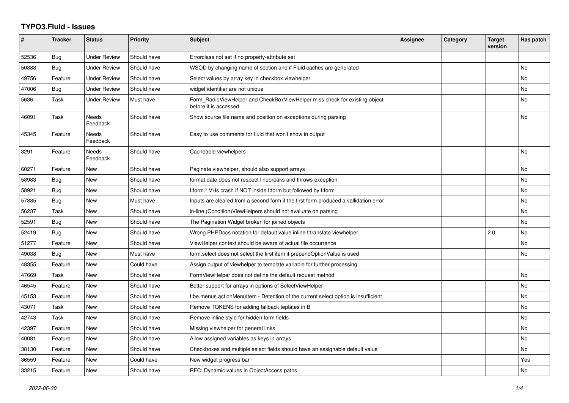## **TYPO3.Fluid - Issues**

| #     | <b>Tracker</b> | <b>Status</b>            | <b>Priority</b> | <b>Subject</b>                                                                                       | Assignee | Category | <b>Target</b><br>version | Has patch |
|-------|----------------|--------------------------|-----------------|------------------------------------------------------------------------------------------------------|----------|----------|--------------------------|-----------|
| 52536 | Bug            | <b>Under Review</b>      | Should have     | Errorclass not set if no property-attribute set                                                      |          |          |                          |           |
| 50888 | Bug            | Under Review             | Should have     | WSOD by changing name of section and if Fluid caches are generated                                   |          |          |                          | <b>No</b> |
| 49756 | Feature        | <b>Under Review</b>      | Should have     | Select values by array key in checkbox viewhelper                                                    |          |          |                          | No        |
| 47006 | <b>Bug</b>     | <b>Under Review</b>      | Should have     | widget identifier are not unique                                                                     |          |          |                          | <b>No</b> |
| 5636  | Task           | <b>Under Review</b>      | Must have       | Form RadioViewHelper and CheckBoxViewHelper miss check for existing object<br>before it is accessed. |          |          |                          | No        |
| 46091 | Task           | Needs<br>Feedback        | Should have     | Show source file name and position on exceptions during parsing                                      |          |          |                          | <b>No</b> |
| 45345 | Feature        | Needs<br>Feedback        | Should have     | Easy to use comments for fluid that won't show in output                                             |          |          |                          |           |
| 3291  | Feature        | <b>Needs</b><br>Feedback | Should have     | Cacheable viewhelpers                                                                                |          |          |                          | <b>No</b> |
| 60271 | Feature        | New                      | Should have     | Paginate viewhelper, should also support arrays                                                      |          |          |                          | <b>No</b> |
| 58983 | Bug            | New                      | Should have     | format.date does not respect linebreaks and throws exception                                         |          |          |                          | No        |
| 58921 | Bug            | New                      | Should have     | f:form.* VHs crash if NOT inside f:form but followed by f:form                                       |          |          |                          | No        |
| 57885 | Bug            | New                      | Must have       | Inputs are cleared from a second form if the first form produced a vallidation error                 |          |          |                          | No        |
| 56237 | Task           | New                      | Should have     | in-line (Condition) View Helpers should not evaluate on parsing                                      |          |          |                          | <b>No</b> |
| 52591 | <b>Bug</b>     | New                      | Should have     | The Pagination Widget broken for joined objects                                                      |          |          |                          | No        |
| 52419 | <b>Bug</b>     | <b>New</b>               | Should have     | Wrong PHPDocs notation for default value inline f:translate viewhelper                               |          |          | 2.0                      | No        |
| 51277 | Feature        | New                      | Should have     | ViewHelper context should be aware of actual file occurrence                                         |          |          |                          | <b>No</b> |
| 49038 | Bug            | New                      | Must have       | form.select does not select the first item if prependOptionValue is used                             |          |          |                          | No        |
| 48355 | Feature        | New                      | Could have      | Assign output of viewhelper to template variable for further processing.                             |          |          |                          |           |
| 47669 | Task           | New                      | Should have     | FormViewHelper does not define the default request method                                            |          |          |                          | <b>No</b> |
| 46545 | Feature        | New                      | Should have     | Better support for arrays in options of SelectViewHelper                                             |          |          |                          | No        |
| 45153 | Feature        | New                      | Should have     | f:be.menus.actionMenuItem - Detection of the current select option is insufficient                   |          |          |                          | No        |
| 43071 | Task           | New                      | Should have     | Remove TOKENS for adding fallback teplates in B                                                      |          |          |                          | No        |
| 42743 | Task           | New                      | Should have     | Remove inline style for hidden form fields                                                           |          |          |                          | No        |
| 42397 | Feature        | <b>New</b>               | Should have     | Missing viewhelper for general links                                                                 |          |          |                          | No        |
| 40081 | Feature        | New                      | Should have     | Allow assigned variables as keys in arrays                                                           |          |          |                          | No        |
| 38130 | Feature        | New                      | Should have     | Checkboxes and multiple select fields should have an assignable default value                        |          |          |                          | No        |
| 36559 | Feature        | New                      | Could have      | New widget progress bar                                                                              |          |          |                          | Yes       |
| 33215 | Feature        | New                      | Should have     | RFC: Dynamic values in ObjectAccess paths                                                            |          |          |                          | <b>No</b> |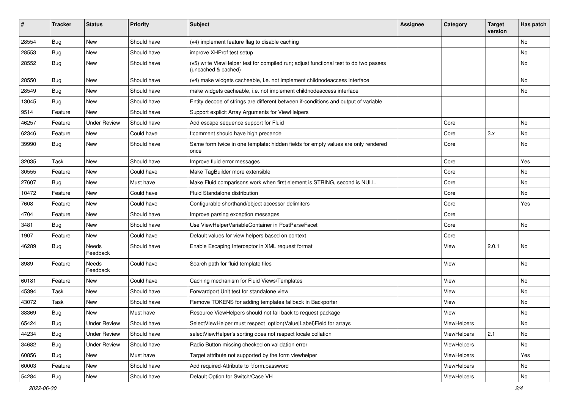| #     | <b>Tracker</b> | <b>Status</b>       | <b>Priority</b> | Subject                                                                                                     | <b>Assignee</b> | Category    | <b>Target</b><br>version | Has patch |
|-------|----------------|---------------------|-----------------|-------------------------------------------------------------------------------------------------------------|-----------------|-------------|--------------------------|-----------|
| 28554 | Bug            | New                 | Should have     | (v4) implement feature flag to disable caching                                                              |                 |             |                          | No        |
| 28553 | <b>Bug</b>     | New                 | Should have     | improve XHProf test setup                                                                                   |                 |             |                          | No        |
| 28552 | <b>Bug</b>     | New                 | Should have     | (v5) write ViewHelper test for compiled run; adjust functional test to do two passes<br>(uncached & cached) |                 |             |                          | No        |
| 28550 | <b>Bug</b>     | New                 | Should have     | (v4) make widgets cacheable, i.e. not implement childnodeaccess interface                                   |                 |             |                          | No        |
| 28549 | <b>Bug</b>     | New                 | Should have     | make widgets cacheable, i.e. not implement childnodeaccess interface                                        |                 |             |                          | No        |
| 13045 | <b>Bug</b>     | New                 | Should have     | Entity decode of strings are different between if-conditions and output of variable                         |                 |             |                          |           |
| 9514  | Feature        | New                 | Should have     | Support explicit Array Arguments for ViewHelpers                                                            |                 |             |                          |           |
| 46257 | Feature        | <b>Under Review</b> | Should have     | Add escape sequence support for Fluid                                                                       |                 | Core        |                          | No        |
| 62346 | Feature        | New                 | Could have      | f:comment should have high precende                                                                         |                 | Core        | 3.x                      | No        |
| 39990 | Bug            | New                 | Should have     | Same form twice in one template: hidden fields for empty values are only rendered<br>once                   |                 | Core        |                          | No        |
| 32035 | Task           | New                 | Should have     | Improve fluid error messages                                                                                |                 | Core        |                          | Yes       |
| 30555 | Feature        | New                 | Could have      | Make TagBuilder more extensible                                                                             |                 | Core        |                          | No        |
| 27607 | Bug            | New                 | Must have       | Make Fluid comparisons work when first element is STRING, second is NULL.                                   |                 | Core        |                          | No        |
| 10472 | Feature        | New                 | Could have      | <b>Fluid Standalone distribution</b>                                                                        |                 | Core        |                          | No        |
| 7608  | Feature        | New                 | Could have      | Configurable shorthand/object accessor delimiters                                                           |                 | Core        |                          | Yes       |
| 4704  | Feature        | New                 | Should have     | Improve parsing exception messages                                                                          |                 | Core        |                          |           |
| 3481  | Bug            | New                 | Should have     | Use ViewHelperVariableContainer in PostParseFacet                                                           |                 | Core        |                          | No        |
| 1907  | Feature        | New                 | Could have      | Default values for view helpers based on context                                                            |                 | Core        |                          |           |
| 46289 | Bug            | Needs<br>Feedback   | Should have     | Enable Escaping Interceptor in XML request format                                                           |                 | View        | 2.0.1                    | No        |
| 8989  | Feature        | Needs<br>Feedback   | Could have      | Search path for fluid template files                                                                        |                 | View        |                          | No        |
| 60181 | Feature        | New                 | Could have      | Caching mechanism for Fluid Views/Templates                                                                 |                 | View        |                          | No        |
| 45394 | Task           | New                 | Should have     | Forwardport Unit test for standalone view                                                                   |                 | View        |                          | No        |
| 43072 | Task           | New                 | Should have     | Remove TOKENS for adding templates fallback in Backporter                                                   |                 | View        |                          | No        |
| 38369 | <b>Bug</b>     | New                 | Must have       | Resource ViewHelpers should not fall back to request package                                                |                 | View        |                          | No        |
| 65424 | <b>Bug</b>     | <b>Under Review</b> | Should have     | SelectViewHelper must respect option(Value Label)Field for arrays                                           |                 | ViewHelpers |                          | No        |
| 44234 | Bug            | <b>Under Review</b> | Should have     | selectViewHelper's sorting does not respect locale collation                                                |                 | ViewHelpers | 2.1                      | No        |
| 34682 | Bug            | <b>Under Review</b> | Should have     | Radio Button missing checked on validation error                                                            |                 | ViewHelpers |                          | No        |
| 60856 | Bug            | New                 | Must have       | Target attribute not supported by the form viewhelper                                                       |                 | ViewHelpers |                          | Yes       |
| 60003 | Feature        | New                 | Should have     | Add required-Attribute to f:form.password                                                                   |                 | ViewHelpers |                          | No        |
| 54284 | Bug            | New                 | Should have     | Default Option for Switch/Case VH                                                                           |                 | ViewHelpers |                          | No        |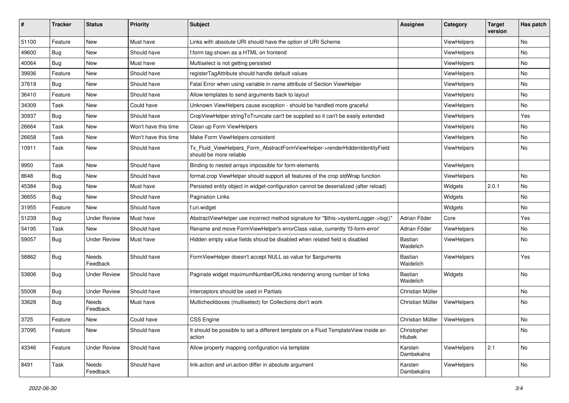| #     | <b>Tracker</b> | <b>Status</b>       | <b>Priority</b>      | Subject                                                                                                | <b>Assignee</b>             | Category    | <b>Target</b><br>version | Has patch |
|-------|----------------|---------------------|----------------------|--------------------------------------------------------------------------------------------------------|-----------------------------|-------------|--------------------------|-----------|
| 51100 | Feature        | New                 | Must have            | Links with absolute URI should have the option of URI Scheme                                           |                             | ViewHelpers |                          | <b>No</b> |
| 49600 | Bug            | New                 | Should have          | f:form tag shown as a HTML on frontend                                                                 |                             | ViewHelpers |                          | No        |
| 40064 | Bug            | New                 | Must have            | Multiselect is not getting persisted                                                                   |                             | ViewHelpers |                          | No        |
| 39936 | Feature        | New                 | Should have          | registerTagAttribute should handle default values                                                      |                             | ViewHelpers |                          | No        |
| 37619 | Bug            | New                 | Should have          | Fatal Error when using variable in name attribute of Section ViewHelper                                |                             | ViewHelpers |                          | No        |
| 36410 | Feature        | New                 | Should have          | Allow templates to send arguments back to layout                                                       |                             | ViewHelpers |                          | No        |
| 34309 | Task           | New                 | Could have           | Unknown ViewHelpers cause exception - should be handled more graceful                                  |                             | ViewHelpers |                          | No        |
| 30937 | Bug            | New                 | Should have          | CropViewHelper stringToTruncate can't be supplied so it can't be easily extended                       |                             | ViewHelpers |                          | Yes       |
| 26664 | Task           | New                 | Won't have this time | Clean up Form ViewHelpers                                                                              |                             | ViewHelpers |                          | No        |
| 26658 | Task           | New                 | Won't have this time | Make Form ViewHelpers consistent                                                                       |                             | ViewHelpers |                          | No        |
| 10911 | Task           | New                 | Should have          | Tx_Fluid_ViewHelpers_Form_AbstractFormViewHelper->renderHiddenIdentityField<br>should be more reliable |                             | ViewHelpers |                          | No        |
| 9950  | Task           | New                 | Should have          | Binding to nested arrays impossible for form-elements                                                  |                             | ViewHelpers |                          |           |
| 8648  | Bug            | New                 | Should have          | format.crop ViewHelper should support all features of the crop stdWrap function                        |                             | ViewHelpers |                          | No        |
| 45384 | Bug            | New                 | Must have            | Persisted entity object in widget-configuration cannot be deserialized (after reload)                  |                             | Widgets     | 2.0.1                    | No        |
| 36655 | Bug            | New                 | Should have          | <b>Pagination Links</b>                                                                                |                             | Widgets     |                          | No        |
| 31955 | Feature        | New                 | Should have          | f:uri.widget                                                                                           |                             | Widgets     |                          | <b>No</b> |
| 51239 | Bug            | <b>Under Review</b> | Must have            | AbstractViewHelper use incorrect method signature for "\$this->systemLogger->log()"                    | Adrian Föder                | Core        |                          | Yes       |
| 54195 | Task           | New                 | Should have          | Rename and move FormViewHelper's errorClass value, currently 'f3-form-error'                           | Adrian Föder                | ViewHelpers |                          | No.       |
| 59057 | Bug            | Under Review        | Must have            | Hidden empty value fields shoud be disabled when related field is disabled                             | <b>Bastian</b><br>Waidelich | ViewHelpers |                          | No        |
| 58862 | Bug            | Needs<br>Feedback   | Should have          | FormViewHelper doesn't accept NULL as value for \$arguments                                            | <b>Bastian</b><br>Waidelich | ViewHelpers |                          | Yes       |
| 53806 | Bug            | Under Review        | Should have          | Paginate widget maximumNumberOfLinks rendering wrong number of links                                   | Bastian<br>Waidelich        | Widgets     |                          | No        |
| 55008 | Bug            | <b>Under Review</b> | Should have          | Interceptors should be used in Partials                                                                | Christian Müller            |             |                          | No        |
| 33628 | Bug            | Needs<br>Feedback   | Must have            | Multicheckboxes (multiselect) for Collections don't work                                               | Christian Müller            | ViewHelpers |                          | No        |
| 3725  | Feature        | New                 | Could have           | <b>CSS Engine</b>                                                                                      | Christian Müller            | ViewHelpers |                          | No        |
| 37095 | Feature        | New                 | Should have          | It should be possible to set a different template on a Fluid TemplateView inside an<br>action          | Christopher<br>Hlubek       |             |                          | No        |
| 43346 | Feature        | <b>Under Review</b> | Should have          | Allow property mapping configuration via template                                                      | Karsten<br>Dambekalns       | ViewHelpers | 2.1                      | No        |
| 8491  | Task           | Needs<br>Feedback   | Should have          | link.action and uri.action differ in absolute argument                                                 | Karsten<br>Dambekalns       | ViewHelpers |                          | No        |